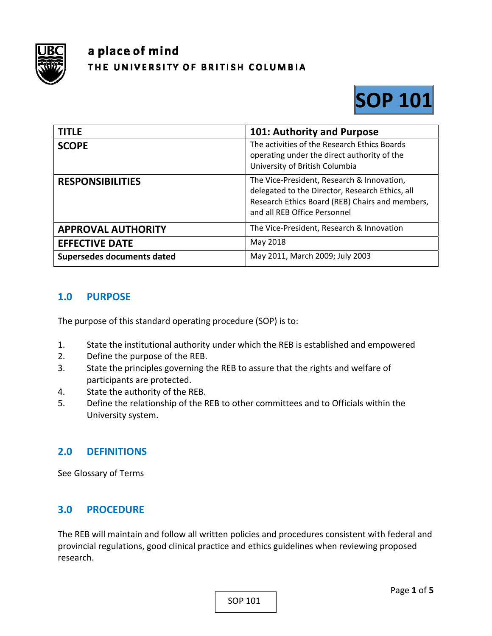

# a place of mind THE UNIVERSITY OF BRITISH COLUMBIA



| <b>TITLE</b>               | 101: Authority and Purpose                                                                                                                                                       |
|----------------------------|----------------------------------------------------------------------------------------------------------------------------------------------------------------------------------|
| <b>SCOPE</b>               | The activities of the Research Ethics Boards<br>operating under the direct authority of the<br>University of British Columbia                                                    |
| <b>RESPONSIBILITIES</b>    | The Vice-President, Research & Innovation,<br>delegated to the Director, Research Ethics, all<br>Research Ethics Board (REB) Chairs and members,<br>and all REB Office Personnel |
| <b>APPROVAL AUTHORITY</b>  | The Vice-President, Research & Innovation                                                                                                                                        |
| <b>EFFECTIVE DATE</b>      | May 2018                                                                                                                                                                         |
| Supersedes documents dated | May 2011, March 2009; July 2003                                                                                                                                                  |

# **1.0 PURPOSE**

The purpose of this standard operating procedure (SOP) is to:

- 1. State the institutional authority under which the REB is established and empowered
- 2. Define the purpose of the REB.
- 3. State the principles governing the REB to assure that the rights and welfare of participants are protected.
- 4. State the authority of the REB.
- 5. Define the relationship of the REB to other committees and to Officials within the University system.

## **2.0 DEFINITIONS**

See Glossary of Terms

## **3.0 PROCEDURE**

The REB will maintain and follow all written policies and procedures consistent with federal and provincial regulations, good clinical practice and ethics guidelines when reviewing proposed research.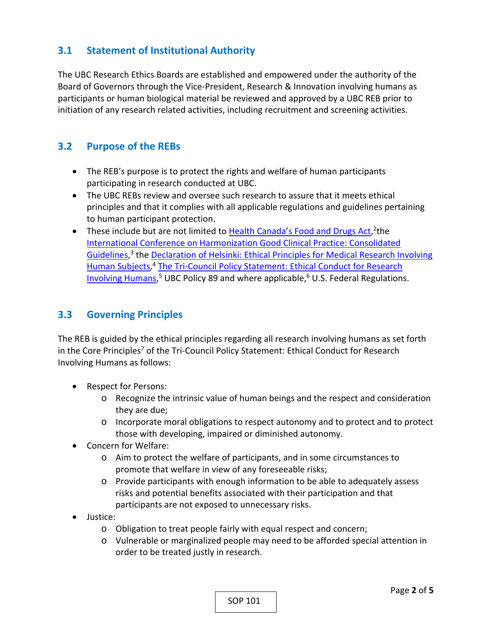# **3.1 Statement of Institutional Authority**

The UBC Research Ethics Boards are established and empowered under the authority of the Board of Governors through the Vice‐President, Research & Innovation involving humans as participants or human biological material be reviewed and approved by a UBC REB prior to initiation of any research related activities, including recruitment and screening activities.

# **3.2 Purpose of the REBs**

- The REB's purpose is to protect the rights and welfare of human participants participating in research conducted at UBC.
- The UBC REBs review and oversee such research to assure that it meets ethical principles and that it complies with all applicable regulations and guidelines pertaining to human participant protection.
- These include but are not limited to Health Canada's Food and Drugs Act, <sup>2</sup>the International Conference on Harmonization Good Clinical Practice: Consolidated Guidelines,<sup>3</sup> the Declaration of Helsinki: Ethical Principles for Medical Research Involving Human Subjects,<sup>4</sup> The Tri-Council Policy Statement: Ethical Conduct for Research Involving Humans,<sup>5</sup> UBC Policy 89 and where applicable,<sup>6</sup> U.S. Federal Regulations.

# **3.3 Governing Principles**

The REB is guided by the ethical principles regarding all research involving humans as set forth in the Core Principles<sup>7</sup> of the Tri-Council Policy Statement: Ethical Conduct for Research Involving Humans as follows:

- Respect for Persons:
	- o Recognize the intrinsic value of human beings and the respect and consideration they are due;
	- o Incorporate moral obligations to respect autonomy and to protect and to protect those with developing, impaired or diminished autonomy.
- Concern for Welfare:
	- o Aim to protect the welfare of participants, and in some circumstances to promote that welfare in view of any foreseeable risks;
	- o Provide participants with enough information to be able to adequately assess risks and potential benefits associated with their participation and that participants are not exposed to unnecessary risks.
- Justice:
	- o Obligation to treat people fairly with equal respect and concern;
	- o Vulnerable or marginalized people may need to be afforded special attention in order to be treated justly in research.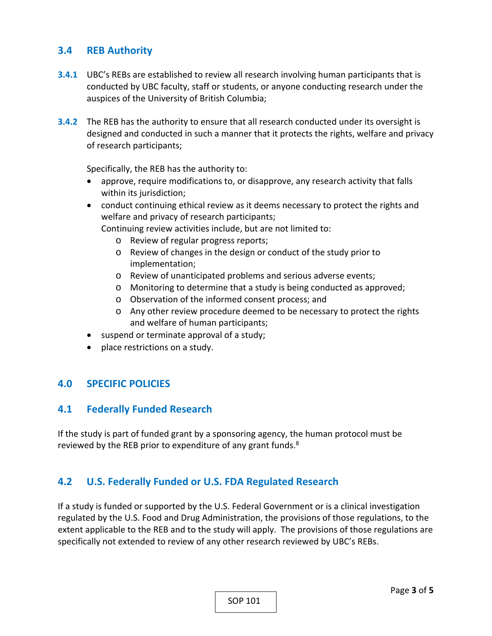## **3.4 REB Authority**

- **3.4.1** UBC's REBs are established to review all research involving human participants that is conducted by UBC faculty, staff or students, or anyone conducting research under the auspices of the University of British Columbia;
- **3.4.2** The REB has the authority to ensure that all research conducted under its oversight is designed and conducted in such a manner that it protects the rights, welfare and privacy of research participants;

Specifically, the REB has the authority to:

- approve, require modifications to, or disapprove, any research activity that falls within its jurisdiction;
- conduct continuing ethical review as it deems necessary to protect the rights and welfare and privacy of research participants;

Continuing review activities include, but are not limited to:

- o Review of regular progress reports;
- o Review of changes in the design or conduct of the study prior to implementation;
- o Review of unanticipated problems and serious adverse events;
- o Monitoring to determine that a study is being conducted as approved;
- o Observation of the informed consent process; and
- o Any other review procedure deemed to be necessary to protect the rights and welfare of human participants;
- suspend or terminate approval of a study;
- place restrictions on a study.

#### **4.0 SPECIFIC POLICIES**

#### **4.1 Federally Funded Research**

If the study is part of funded grant by a sponsoring agency, the human protocol must be reviewed by the REB prior to expenditure of any grant funds.<sup>8</sup>

#### **4.2 U.S. Federally Funded or U.S. FDA Regulated Research**

If a study is funded or supported by the U.S. Federal Government or is a clinical investigation regulated by the U.S. Food and Drug Administration, the provisions of those regulations, to the extent applicable to the REB and to the study will apply. The provisions of those regulations are specifically not extended to review of any other research reviewed by UBC's REBs.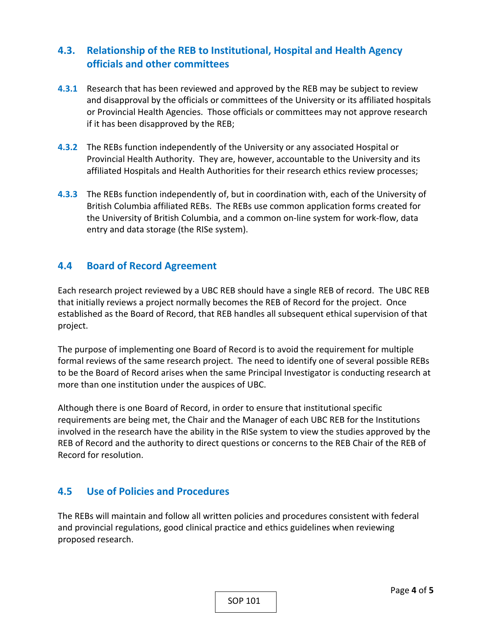# **4.3. Relationship of the REB to Institutional, Hospital and Health Agency officials and other committees**

- **4.3.1** Research that has been reviewed and approved by the REB may be subject to review and disapproval by the officials or committees of the University or its affiliated hospitals or Provincial Health Agencies. Those officials or committees may not approve research if it has been disapproved by the REB;
- **4.3.2** The REBs function independently of the University or any associated Hospital or Provincial Health Authority. They are, however, accountable to the University and its affiliated Hospitals and Health Authorities for their research ethics review processes;
- **4.3.3** The REBs function independently of, but in coordination with, each of the University of British Columbia affiliated REBs. The REBs use common application forms created for the University of British Columbia, and a common on‐line system for work‐flow, data entry and data storage (the RISe system).

#### **4.4 Board of Record Agreement**

Each research project reviewed by a UBC REB should have a single REB of record. The UBC REB that initially reviews a project normally becomes the REB of Record for the project. Once established as the Board of Record, that REB handles all subsequent ethical supervision of that project.

The purpose of implementing one Board of Record is to avoid the requirement for multiple formal reviews of the same research project. The need to identify one of several possible REBs to be the Board of Record arises when the same Principal Investigator is conducting research at more than one institution under the auspices of UBC.

Although there is one Board of Record, in order to ensure that institutional specific requirements are being met, the Chair and the Manager of each UBC REB for the Institutions involved in the research have the ability in the RISe system to view the studies approved by the REB of Record and the authority to direct questions or concerns to the REB Chair of the REB of Record for resolution.

## **4.5 Use of Policies and Procedures**

The REBs will maintain and follow all written policies and procedures consistent with federal and provincial regulations, good clinical practice and ethics guidelines when reviewing proposed research.